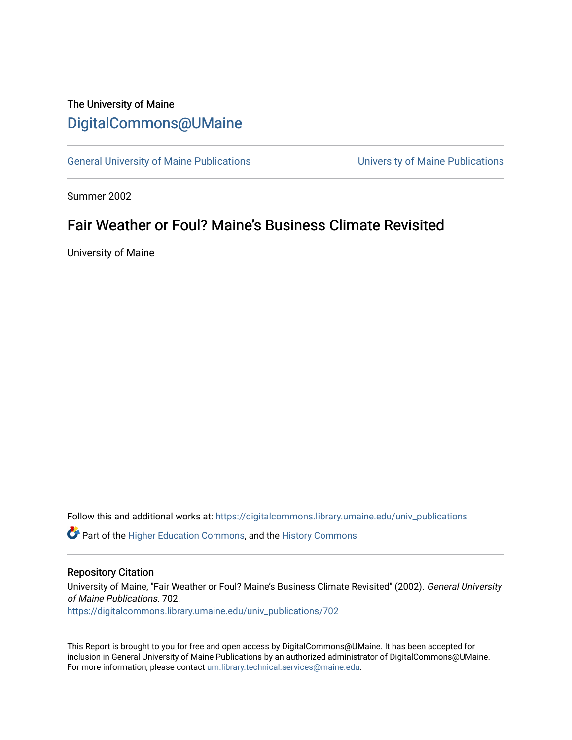# The University of Maine [DigitalCommons@UMaine](https://digitalcommons.library.umaine.edu/)

[General University of Maine Publications](https://digitalcommons.library.umaine.edu/univ_publications) [University of Maine Publications](https://digitalcommons.library.umaine.edu/umaine_publications) 

Summer 2002

# Fair Weather or Foul? Maine's Business Climate Revisited

University of Maine

Follow this and additional works at: [https://digitalcommons.library.umaine.edu/univ\\_publications](https://digitalcommons.library.umaine.edu/univ_publications?utm_source=digitalcommons.library.umaine.edu%2Funiv_publications%2F702&utm_medium=PDF&utm_campaign=PDFCoverPages) 

**C** Part of the [Higher Education Commons,](http://network.bepress.com/hgg/discipline/1245?utm_source=digitalcommons.library.umaine.edu%2Funiv_publications%2F702&utm_medium=PDF&utm_campaign=PDFCoverPages) and the [History Commons](http://network.bepress.com/hgg/discipline/489?utm_source=digitalcommons.library.umaine.edu%2Funiv_publications%2F702&utm_medium=PDF&utm_campaign=PDFCoverPages)

## Repository Citation

University of Maine, "Fair Weather or Foul? Maine's Business Climate Revisited" (2002). General University of Maine Publications. 702.

[https://digitalcommons.library.umaine.edu/univ\\_publications/702](https://digitalcommons.library.umaine.edu/univ_publications/702?utm_source=digitalcommons.library.umaine.edu%2Funiv_publications%2F702&utm_medium=PDF&utm_campaign=PDFCoverPages) 

This Report is brought to you for free and open access by DigitalCommons@UMaine. It has been accepted for inclusion in General University of Maine Publications by an authorized administrator of DigitalCommons@UMaine. For more information, please contact [um.library.technical.services@maine.edu](mailto:um.library.technical.services@maine.edu).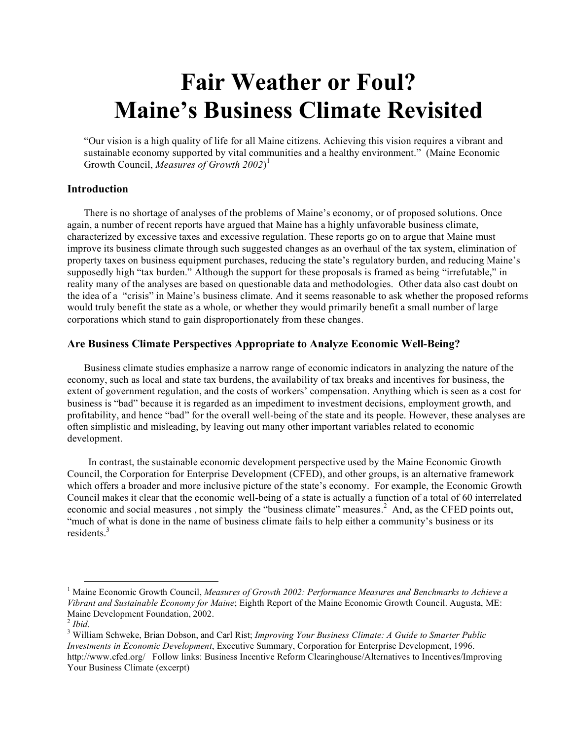# **Fair Weather or Foul? Maine's Business Climate Revisited**

"Our vision is a high quality of life for all Maine citizens. Achieving this vision requires a vibrant and sustainable economy supported by vital communities and a healthy environment." (Maine Economic Growth Council, *Measures of Growth 2002*) 1

## **Introduction**

There is no shortage of analyses of the problems of Maine's economy, or of proposed solutions. Once again, a number of recent reports have argued that Maine has a highly unfavorable business climate, characterized by excessive taxes and excessive regulation. These reports go on to argue that Maine must improve its business climate through such suggested changes as an overhaul of the tax system, elimination of property taxes on business equipment purchases, reducing the state's regulatory burden, and reducing Maine's supposedly high "tax burden." Although the support for these proposals is framed as being "irrefutable," in reality many of the analyses are based on questionable data and methodologies. Other data also cast doubt on the idea of a "crisis" in Maine's business climate. And it seems reasonable to ask whether the proposed reforms would truly benefit the state as a whole, or whether they would primarily benefit a small number of large corporations which stand to gain disproportionately from these changes.

# **Are Business Climate Perspectives Appropriate to Analyze Economic Well-Being?**

Business climate studies emphasize a narrow range of economic indicators in analyzing the nature of the economy, such as local and state tax burdens, the availability of tax breaks and incentives for business, the extent of government regulation, and the costs of workers' compensation. Anything which is seen as a cost for business is "bad" because it is regarded as an impediment to investment decisions, employment growth, and profitability, and hence "bad" for the overall well-being of the state and its people. However, these analyses are often simplistic and misleading, by leaving out many other important variables related to economic development.

In contrast, the sustainable economic development perspective used by the Maine Economic Growth Council, the Corporation for Enterprise Development (CFED), and other groups, is an alternative framework which offers a broader and more inclusive picture of the state's economy. For example, the Economic Growth Council makes it clear that the economic well-being of a state is actually a function of a total of 60 interrelated economic and social measures, not simply the "business climate" measures.<sup>2</sup> And, as the CFED points out, "much of what is done in the name of business climate fails to help either a community's business or its residents. 3

 <sup>1</sup> Maine Economic Growth Council, *Measures of Growth 2002: Performance Measures and Benchmarks to Achieve <sup>a</sup> Vibrant and Sustainable Economy for Maine*; Eighth Report of the Maine Economic Growth Council. Augusta, ME: Maine Development Foundation, 2002. <sup>2</sup> *Ibid*. <sup>3</sup> William Schweke, Brian Dobson, and Carl Rist; *Improving Your Business Climate: <sup>A</sup> Guide to Smarter Public*

*Investments in Economic Development*, Executive Summary, Corporation for Enterprise Development, 1996. http://www.cfed.org/ Follow links: Business Incentive Reform Clearinghouse/Alternatives to Incentives/Improving Your Business Climate (excerpt)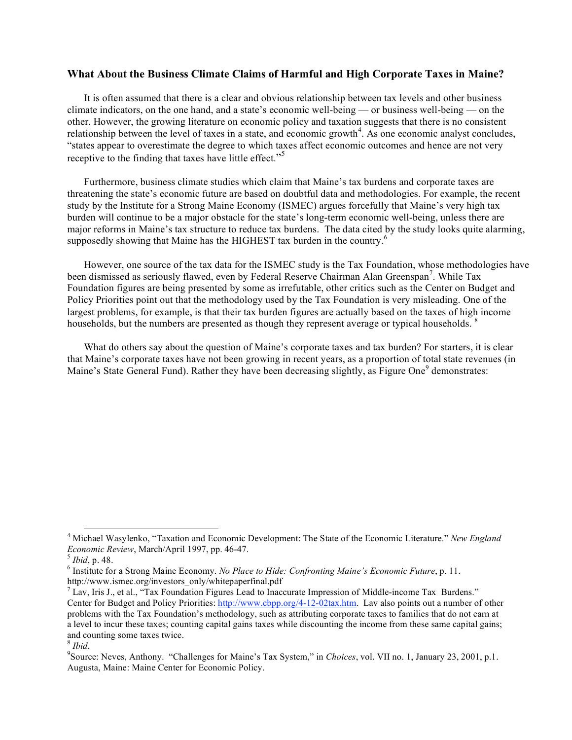## **What About the Business Climate Claims of Harmful and High Corporate Taxes in Maine?**

It is often assumed that there is a clear and obvious relationship between tax levels and other business climate indicators, on the one hand, and a state's economic well-being — or business well-being — on the other. However, the growing literature on economic policy and taxation suggests that there is no consistent relationship between the level of taxes in a state, and economic growth<sup>4</sup>. As one economic analyst concludes, "states appear to overestimate the degree to which taxes affect economic outcomes and hence are not very receptive to the finding that taxes have little effect."<sup>5</sup>

Furthermore, business climate studies which claim that Maine's tax burdens and corporate taxes are threatening the state's economic future are based on doubtful data and methodologies. For example, the recent study by the Institute for a Strong Maine Economy (ISMEC) argues forcefully that Maine's very high tax burden will continue to be a major obstacle for the state's long-term economic well-being, unless there are major reforms in Maine's tax structure to reduce tax burdens. The data cited by the study looks quite alarming, supposedly showing that Maine has the HIGHEST tax burden in the country.<sup>6</sup>

However, one source of the tax data for the ISMEC study is the Tax Foundation, whose methodologies have been dismissed as seriously flawed, even by Federal Reserve Chairman Alan Greenspan<sup>7</sup>. While Tax Foundation figures are being presented by some as irrefutable, other critics such as the Center on Budget and Policy Priorities point out that the methodology used by the Tax Foundation is very misleading. One of the largest problems, for example, is that their tax burden figures are actually based on the taxes of high income households, but the numbers are presented as though they represent average or typical households.<sup>8</sup>

What do others say about the question of Maine's corporate taxes and tax burden? For starters, it is clear that Maine's corporate taxes have not been growing in recent years, as a proportion of total state revenues (in Maine's State General Fund). Rather they have been decreasing slightly, as Figure One<sup>9</sup> demonstrates:

 <sup>4</sup> Michael Wasylenko, "Taxation and Economic Development: The State of the Economic Literature." *New England Economic Review*, March/April 1997, pp. 46-47.<br><sup>5</sup> *Ibid*, p. 48.<br><sup>6</sup> Institute for a Strong Maine Economy. *No Place to Hide: Confronting Maine's Economic Future*, p. 11.

http://www.ismec.org/investors\_only/whitepaperfinal.pdf<br><sup>7</sup> Lav, Iris J., et al., "Tax Foundation Figures Lead to Inaccurate Impression of Middle-income Tax Burdens."

Center for Budget and Policy Priorities: http://www.cbpp.org/4-12-02tax.htm. Lav also points out a number of other problems with the Tax Foundation's methodology, such as attributing corporate taxes to families that do not earn at a level to incur these taxes; counting capital gains taxes while discounting the income from these same capital gains; and counting some taxes twice. <sup>8</sup> *Ibid*.

Source: Neves, Anthony. "Challenges for Maine's Tax System," in *Choices*, vol. VII no. 1, January 23, 2001, p.1. Augusta, Maine: Maine Center for Economic Policy.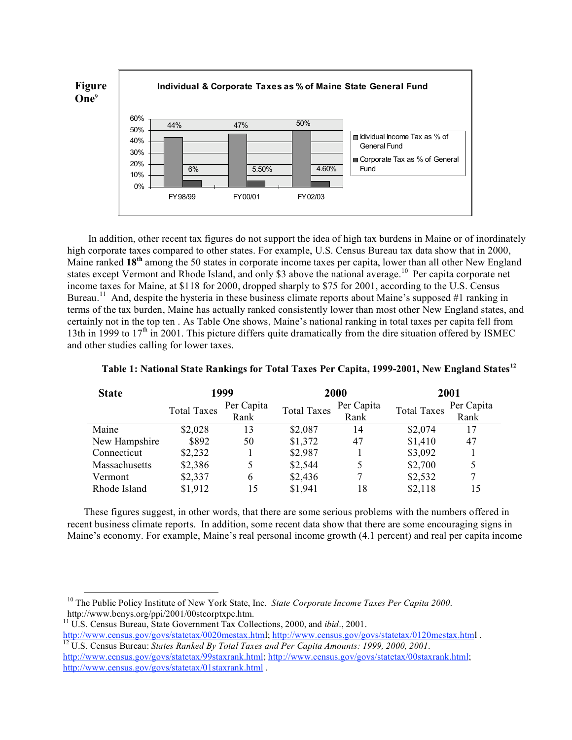

In addition, other recent tax figures do not support the idea of high tax burdens in Maine or of inordinately high corporate taxes compared to other states. For example, U.S. Census Bureau tax data show that in 2000, Maine ranked **18th** among the 50 states in corporate income taxes per capita, lower than all other New England states except Vermont and Rhode Island, and only \$3 above the national average.<sup>10</sup> Per capita corporate net income taxes for Maine, at \$118 for 2000, dropped sharply to \$75 for 2001, according to the U.S. Census Bureau.<sup>11</sup> And, despite the hysteria in these business climate reports about Maine's supposed #1 ranking in terms of the tax burden, Maine has actually ranked consistently lower than most other New England states, and certainly not in the top ten . As Table One shows, Maine's national ranking in total taxes per capita fell from 13th in 1999 to  $17<sup>th</sup>$  in 2001. This picture differs quite dramatically from the dire situation offered by ISMEC and other studies calling for lower taxes.

| <b>State</b>  | 1999               |            | 2000               |            | 2001               |            |
|---------------|--------------------|------------|--------------------|------------|--------------------|------------|
|               | <b>Total Taxes</b> | Per Capita | <b>Total Taxes</b> | Per Capita | <b>Total Taxes</b> | Per Capita |
|               |                    | Rank       |                    | Rank       |                    | Rank       |
| Maine         | \$2,028            | 13         | \$2,087            | 14         | \$2,074            | 17         |
| New Hampshire | \$892              | 50         | \$1,372            | 47         | \$1,410            | 47         |
| Connecticut   | \$2,232            |            | \$2,987            |            | \$3,092            |            |
| Massachusetts | \$2,386            |            | \$2,544            |            | \$2,700            | 5          |
| Vermont       | \$2,337            | 6          | \$2,436            |            | \$2,532            |            |
| Rhode Island  | \$1,912            | 15         | \$1,941            | 18         | \$2,118            | 15         |

#### **Table 1: National State Rankings for Total Taxes Per Capita, 1999-2001, New England States<sup>12</sup>**

These figures suggest, in other words, that there are some serious problems with the numbers offered in recent business climate reports. In addition, some recent data show that there are some encouraging signs in Maine's economy. For example, Maine's real personal income growth (4.1 percent) and real per capita income

 <sup>10</sup> The Public Policy Institute of New York State, Inc. *State Corporate Income Taxes Per Capita <sup>2000</sup>*.

<sup>&</sup>lt;sup>11</sup> U.S. Census Bureau, State Government Tax Collections, 2000, and *ibid.*, 2001.<br>http://www.census.gov/govs/statetax/0020mestax.html; http://www.census.gov/govs/statetax/0120mestax.html.

<sup>&</sup>lt;sup>12</sup> U.S. Census Bureau: States Ranked By Total Taxes and Per Capita Amounts: 1999, 2000, 2001. http://www.census.gov/govs/statetax/99staxrank.html; http://www.census.gov/govs/statetax/00staxrank.html; http://www.census.gov/govs/statetax/01staxrank.html .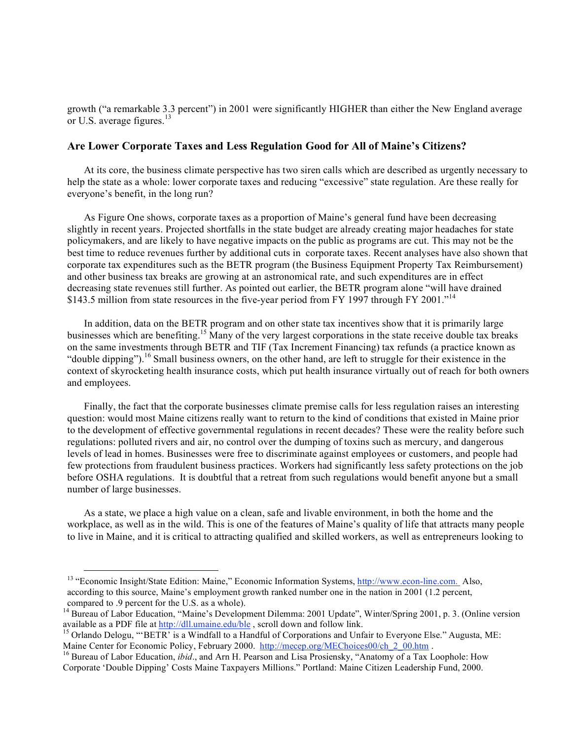growth ("a remarkable 3.3 percent") in 2001 were significantly HIGHER than either the New England average or U.S. average figures.<sup>13</sup>

# **Are Lower Corporate Taxes and Less Regulation Good for All of Maine's Citizens?**

At its core, the business climate perspective has two siren calls which are described as urgently necessary to help the state as a whole: lower corporate taxes and reducing "excessive" state regulation. Are these really for everyone's benefit, in the long run?

As Figure One shows, corporate taxes as a proportion of Maine's general fund have been decreasing slightly in recent years. Projected shortfalls in the state budget are already creating major headaches for state policymakers, and are likely to have negative impacts on the public as programs are cut. This may not be the best time to reduce revenues further by additional cuts in corporate taxes. Recent analyses have also shown that corporate tax expenditures such as the BETR program (the Business Equipment Property Tax Reimbursement) and other business tax breaks are growing at an astronomical rate, and such expenditures are in effect decreasing state revenues still further. As pointed out earlier, the BETR program alone "will have drained \$143.5 million from state resources in the five-year period from FY 1997 through FY 2001.<sup>14</sup>

In addition, data on the BETR program and on other state tax incentives show that it is primarily large businesses which are benefiting.<sup>15</sup> Many of the very largest corporations in the state receive double tax breaks on the same investments through BETR and TIF (Tax Increment Financing) tax refunds (a practice known as "double dipping").<sup>16</sup> Small business owners, on the other hand, are left to struggle for their existence in the context of skyrocketing health insurance costs, which put health insurance virtually out of reach for both owners and employees.

Finally, the fact that the corporate businesses climate premise calls for less regulation raises an interesting question: would most Maine citizens really want to return to the kind of conditions that existed in Maine prior to the development of effective governmental regulations in recent decades? These were the reality before such regulations: polluted rivers and air, no control over the dumping of toxins such as mercury, and dangerous levels of lead in homes. Businesses were free to discriminate against employees or customers, and people had few protections from fraudulent business practices. Workers had significantly less safety protections on the job before OSHA regulations. It is doubtful that a retreat from such regulations would benefit anyone but a small number of large businesses.

As a state, we place a high value on a clean, safe and livable environment, in both the home and the workplace, as well as in the wild. This is one of the features of Maine's quality of life that attracts many people to live in Maine, and it is critical to attracting qualified and skilled workers, as well as entrepreneurs looking to

<sup>&</sup>lt;sup>13</sup> "Economic Insight/State Edition: Maine," Economic Information Systems, http://www.econ-line.com. Also, according to this source, Maine's employment growth ranked number one in the nation in 2001 (1.2 percent, compared to .9 percent for the U.S. as a whole).

<sup>&</sup>lt;sup>14</sup> Bureau of Labor Education, "Maine's Development Dilemma: 2001 Update", Winter/Spring 2001, p. 3. (Online version

available as a PDF file at http://dll.umaine.edu/ble, scroll down and follow link.<br><sup>15</sup> Orlando Delogu, "'BETR' is a Windfall to a Handful of Corporations and Unfair to Everyone Else." Augusta, ME:<br>Maine Center for Economi

<sup>&</sup>lt;sup>16</sup> Bureau of Labor Education, *ibid.*, and Arn H. Pearson and Lisa Prosiensky, "Anatomy of a Tax Loophole: How Corporate 'Double Dipping' Costs Maine Taxpayers Millions." Portland: Maine Citizen Leadership Fund, 2000.